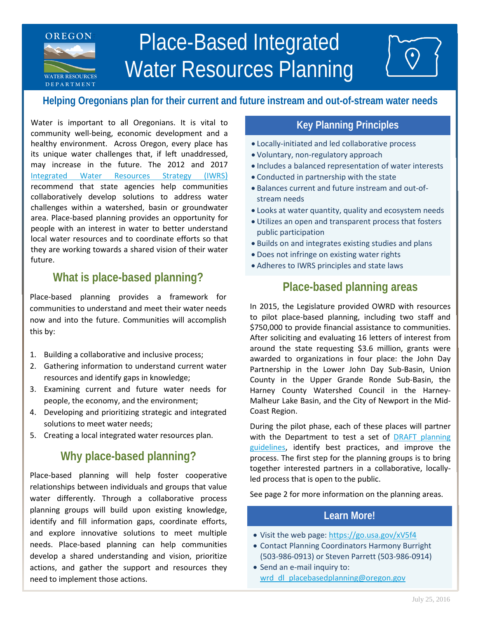# Place-Based Integrated Water Resources Planning

# **Helping Oregonians plan for their current and future instream and out-of-stream water needs**

Water is important to all Oregonians. It is vital to **E R T Leaper A R T A R T A R T A R T A R T A R T A R T A R T A R T A R T A R T A R T A R T A R T A R T A R T A R T A R T A R T A R T A R T A R T A R T A R T A R T A R T** community well-being, economic development and a healthy environment. Across Oregon, every place has its unique water challenges that, if left unaddressed, may increase in the future. The 2012 and 2017 [Integrated Water Resources Strategy \(IWRS\)](https://www.oregon.gov/OWRD/programs/Planning/IWRS/Pages/default.aspx) recommend that state agencies help communities collaboratively develop solutions to address water challenges within a watershed, basin or groundwater area. Place-based planning provides an opportunity for people with an interest in water to better understand local water resources and to coordinate efforts so that they are working towards a shared vision of their water future.

**OREGON**

**WATER RESOURCES D E P A R T M E N T**

# **What is place-based planning?**

Place-based planning provides a framework for communities to understand and meet their water needs now and into the future. Communities will accomplish this by:

- 1. Building a collaborative and inclusive process;
- 2. Gathering information to understand current water resources and identify gaps in knowledge;
- 3. Examining current and future water needs for people, the economy, and the environment;
- 4. Developing and prioritizing strategic and integrated solutions to meet water needs;
- 5. Creating a local integrated water resources plan.

# **Why place-based planning?**

Place-based planning will help foster cooperative relationships between individuals and groups that value water differently. Through a collaborative process planning groups will build upon existing knowledge, identify and fill information gaps, coordinate efforts, and explore innovative solutions to meet multiple needs. Place-based planning can help communities develop a shared understanding and vision, prioritize actions, and gather the support and resources they need to implement those actions.

- Locally-initiated and led collaborative process
- Voluntary, non-regulatory approach
- Includes a balanced representation of water interests
- Conducted in partnership with the state
- Balances current and future instream and out-ofstream needs
- Looks at water quantity, quality and ecosystem needs
- Utilizes an open and transparent process that fosters public participation
- Builds on and integrates existing studies and plans
- Does not infringe on existing water rights
- Adheres to IWRS principles and state laws

# **Place-based planning areas**

In 2015, the Legislature provided OWRD with resources to pilot place-based planning, including two staff and \$750,000 to provide financial assistance to communities. After soliciting and evaluating 16 letters of interest from around the state requesting \$3.6 million, grants were awarded to organizations in four place: the John Day Partnership in the Lower John Day Sub-Basin, Union County in the Upper Grande Ronde Sub-Basin, the Harney County Watershed Council in the Harney-Malheur Lake Basin, and the City of Newport in the Mid-Coast Region.

During the pilot phase, each of these places will partner with the Department to test a set of DRAFT planning [guidelines,](https://www.oregon.gov/OWRD/WRDPublications1/2015_February_Draft_Place_Based_Guidelines.pdf) identify best practices, and improve the process. The first step for the planning groups is to bring together interested partners in a collaborative, locallyled process that is open to the public.

See page 2 for more information on the planning areas.

## **Learn More!**

- Visit the web page:<https://go.usa.gov/xV5f4>
- Contact Planning Coordinators Harmony Burright (503-986-0913) or Steven Parrett (503-986-0914)
- Send an e-mail inquiry to: wrd dl placebasedplanning@oregon.gov